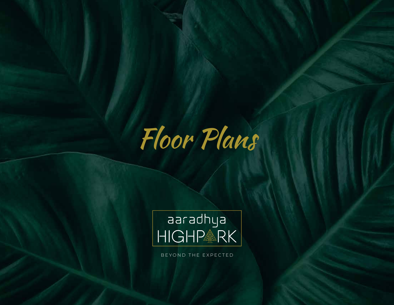



BEYOND THE EXPECTED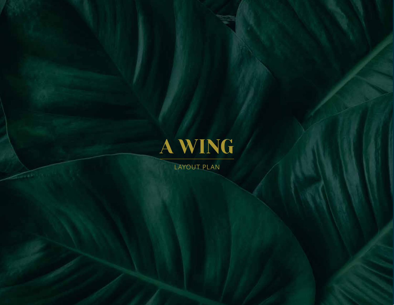

LAYOUT PLAN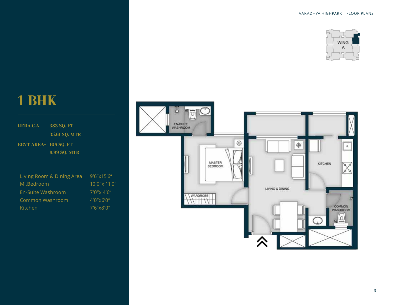

RERA C.A. - 383 SQ. FT 35.61 SQ. MTR EBVT AREA- 108 SQ. FT 9.99 SQ. MTR

Living Room & Dining Area 9'6"x15'6" M .Bedroom 10'0"x 11'0" En-Suite Washroom 7'0"x 4'6" Common Washroom 4'0"x6'0" Kitchen 7'6"x8'0"

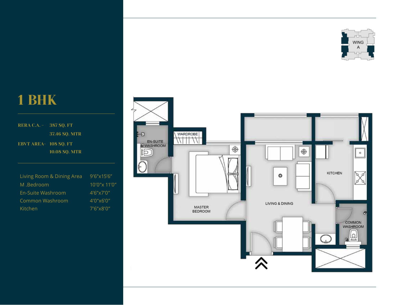

RERA C.A. - 387 SQ. FT 37.46 SQ. MTR EBVT AREA- 108 SQ. FT 10.08 SQ. MTR

| Living Room & Dining Area | 9'6''x15'6''  |
|---------------------------|---------------|
| M .Bedroom                | 10'0" x 11'0" |
| En-Suite Washroom         | 4'6''x7'0''   |
| Common Washroom           | 4'0''x6'0''   |
| Kitchen                   | 7'6''x8'0''   |

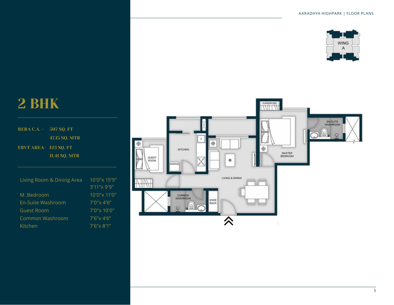

Living Room & Dining Area 10'0"x 15'9" RERA C.A. - 507 SQ. FT 47.15 SQ. MTR 123 SQ. FT EBVT AREA-11.41 SQ. MTR

| IVI .Deuroomi     |
|-------------------|
| En-Suite Washroom |
| Guest Room        |
| Common Washroom   |
| Kitchen           |

3'11"x 9'9" 10'0"x 11'0" 7'0"x 4'6" 7'0"x 10'0"  $7'6''$  $\times$  4'6" 7'6"x 8'1"

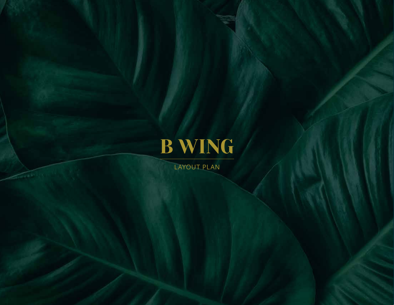

LAYOUT PLAN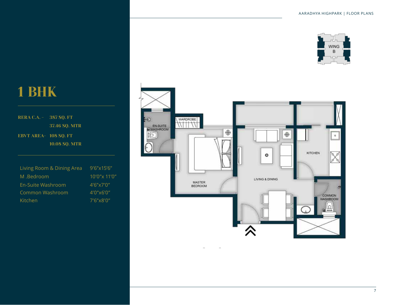

#### RERA C.A. - 387 SQ. FT 37.46 SQ. MTR EBVT AREA- 108 SQ. FT 10.08 SQ. MTR

| Living Room & Dining Area | 9'6"x15'6"          |
|---------------------------|---------------------|
| M .Bedroom                | $10'0''$ x $11'0''$ |
| En-Suite Washroom         | 4'6''x7'0''         |
| Common Washroom           | 4'0''x6'0''         |
| Kitchen                   | 7'6"x8'0"           |

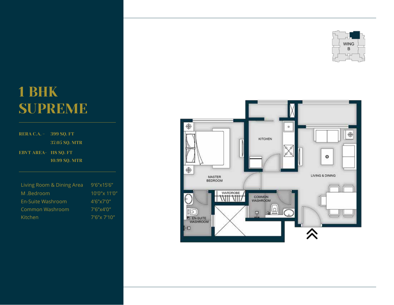# 1 BHK SUPREME

RERA C.A. - 399 SQ. FT 37.05 SQ. MTR EBVT AREA- 118 SQ. FT 10.99 SQ. MTR

| Living Room & Dining Area | $9'6''$ x $15'6''$  |
|---------------------------|---------------------|
| M .Bedroom                | $10'0''$ x $11'0''$ |
| En-Suite Washroom         | 4'6''x7'0''         |
| Common Washroom           | 7'6"x4'0"           |
| Kitchen                   | $7'6''$ x $7'10''$  |



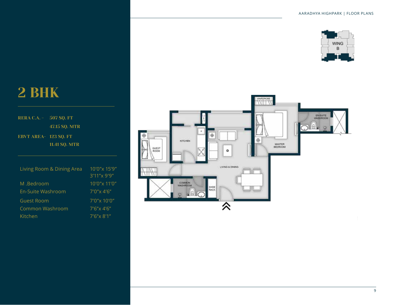

| RERA C.A. - 507 SQ. FT |                      |
|------------------------|----------------------|
|                        | 47.15 SO. MTR        |
| EBVT AREA- 123 SO. FT  |                      |
|                        | <b>11.41 SQ. MTR</b> |
|                        |                      |

| Living Room & Dining Area | 10'0" x 15'9"      |
|---------------------------|--------------------|
|                           | 3'11"x 9'9"        |
| M .Bedroom                | 10'0"x 11'0"       |
| En-Suite Washroom         | $7'0''$ x 4'6"     |
| <b>Guest Room</b>         | $7'0''$ x $10'0''$ |
| Common Washroom           | $7'6''$ x 4'6"     |
| Kitchen                   | 7'6''x 8'1''       |
|                           |                    |

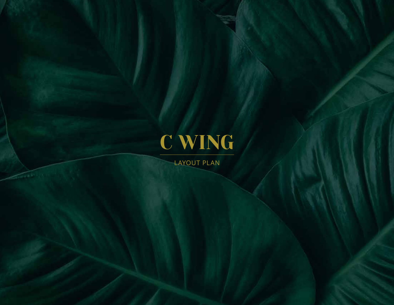

LAYOUT PLAN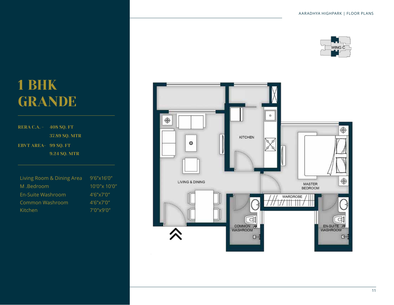

## 1 BHK GRANDE

RERA C.A. - 408 SQ. FT 37.89 SQ. MTR EBVT AREA- 99 SQ. FT 9.24 SQ. MTR

| Living Room & Dining Area | $9'6''$ x $16'0''$  |
|---------------------------|---------------------|
| M .Bedroom                | $10'0''$ x $10'0''$ |
| En-Suite Washroom         | 4'6''x7'0''         |
| Common Washroom           | 4'6''x7'0''         |
| Kitchen                   | $7'0''$ x 9'0"      |

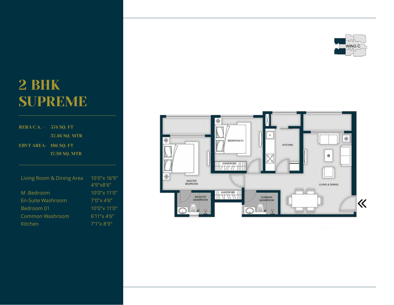

## 2 BHK SUPREME

| <b>RERA C.A. - 574 SQ. FT</b> |                           |                           |
|-------------------------------|---------------------------|---------------------------|
|                               | 37.46 SQ. MTR             |                           |
| <b>EBVT AREA- 186 SQ. FT</b>  | <b>17.30 SO. MTR</b>      |                           |
|                               | Living Room & Dining Area | 10'0"x 16'9"<br>4'9"x8'6" |
| M .Bedroom                    |                           | 10'0"x 11'0"              |
| <b>Fn-Suite Washroom</b>      |                           | $7'0''$ x 4'6"            |
| Bedroom 01                    |                           | $10'0''$ x $11'0''$       |
| Common Washroom               |                           | $6'11''$ x 4'6"           |
| Kitchen                       |                           | 7'1"x 8'9"                |

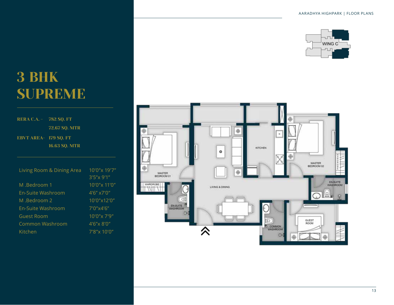

## 3 BHK SUPREME

#### RERA C.A. - 782 SQ. FT 72.67 SQ. MTR EBVT AREA- 179 SQ. FT 16.63 SQ. MTR

Living Room & Dining Area 10'0"x 19'7" M .Bedroom 1 10'0"x 11'0" En-Suite Washroom 4'6" x7'0" M .Bedroom 2 10'0"x12'0" En-Suite Washroom 7'0"x4'6" Guest Room 10'0"x 7'9" Common Washroom 4'6"x 8'0" Kitchen 7'8"x 10'0"

3'5"x 9'1"